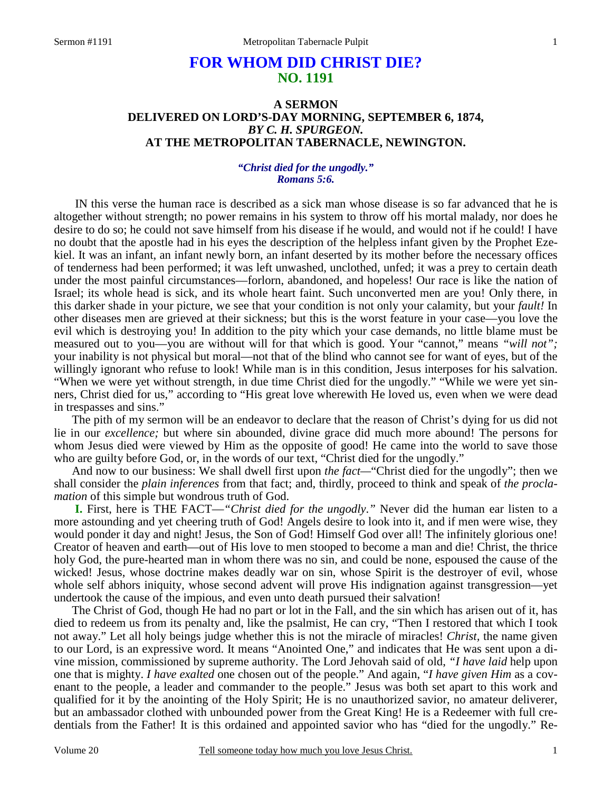# **FOR WHOM DID CHRIST DIE? NO. 1191**

## **A SERMON DELIVERED ON LORD'S-DAY MORNING, SEPTEMBER 6, 1874,** *BY C. H. SPURGEON.*  **AT THE METROPOLITAN TABERNACLE, NEWINGTON.**

#### *"Christ died for the ungodly." Romans 5:6.*

IN this verse the human race is described as a sick man whose disease is so far advanced that he is altogether without strength; no power remains in his system to throw off his mortal malady, nor does he desire to do so; he could not save himself from his disease if he would, and would not if he could! I have no doubt that the apostle had in his eyes the description of the helpless infant given by the Prophet Ezekiel. It was an infant, an infant newly born, an infant deserted by its mother before the necessary offices of tenderness had been performed; it was left unwashed, unclothed, unfed; it was a prey to certain death under the most painful circumstances—forlorn, abandoned, and hopeless! Our race is like the nation of Israel; its whole head is sick, and its whole heart faint. Such unconverted men are you! Only there, in this darker shade in your picture, we see that your condition is not only your calamity, but your *fault!* In other diseases men are grieved at their sickness; but this is the worst feature in your case—you love the evil which is destroying you! In addition to the pity which your case demands, no little blame must be measured out to you—you are without will for that which is good. Your "cannot," means *"will not";* your inability is not physical but moral—not that of the blind who cannot see for want of eyes, but of the willingly ignorant who refuse to look! While man is in this condition, Jesus interposes for his salvation. "When we were yet without strength, in due time Christ died for the ungodly." "While we were yet sinners, Christ died for us," according to "His great love wherewith He loved us, even when we were dead in trespasses and sins."

The pith of my sermon will be an endeavor to declare that the reason of Christ's dying for us did not lie in our *excellence;* but where sin abounded, divine grace did much more abound! The persons for whom Jesus died were viewed by Him as the opposite of good! He came into the world to save those who are guilty before God, or, in the words of our text, "Christ died for the ungodly."

And now to our business: We shall dwell first upon *the fact—*"Christ died for the ungodly"; then we shall consider the *plain inferences* from that fact; and, thirdly, proceed to think and speak of *the proclamation* of this simple but wondrous truth of God.

**I.** First, here is THE FACT—*"Christ died for the ungodly*.*"* Never did the human ear listen to a more astounding and yet cheering truth of God! Angels desire to look into it, and if men were wise, they would ponder it day and night! Jesus, the Son of God! Himself God over all! The infinitely glorious one! Creator of heaven and earth—out of His love to men stooped to become a man and die! Christ, the thrice holy God, the pure-hearted man in whom there was no sin, and could be none, espoused the cause of the wicked! Jesus, whose doctrine makes deadly war on sin, whose Spirit is the destroyer of evil, whose whole self abhors iniquity, whose second advent will prove His indignation against transgression—yet undertook the cause of the impious, and even unto death pursued their salvation!

The Christ of God, though He had no part or lot in the Fall, and the sin which has arisen out of it, has died to redeem us from its penalty and, like the psalmist, He can cry, "Then I restored that which I took not away." Let all holy beings judge whether this is not the miracle of miracles! *Christ,* the name given to our Lord, is an expressive word. It means "Anointed One," and indicates that He was sent upon a divine mission, commissioned by supreme authority. The Lord Jehovah said of old, *"I have laid* help upon one that is mighty. *I have exalted* one chosen out of the people." And again, "*I have given Him* as a covenant to the people, a leader and commander to the people." Jesus was both set apart to this work and qualified for it by the anointing of the Holy Spirit; He is no unauthorized savior, no amateur deliverer, but an ambassador clothed with unbounded power from the Great King! He is a Redeemer with full credentials from the Father! It is this ordained and appointed savior who has "died for the ungodly." Re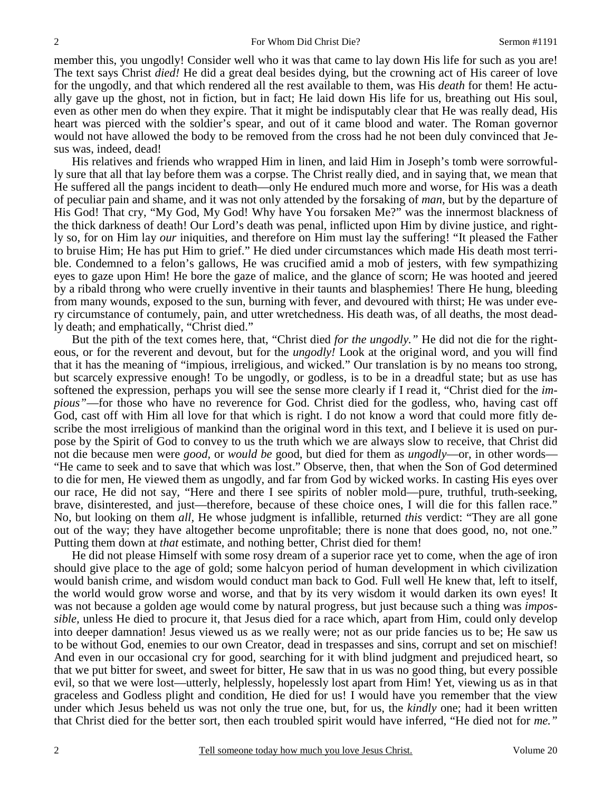member this, you ungodly! Consider well who it was that came to lay down His life for such as you are! The text says Christ *died!* He did a great deal besides dying, but the crowning act of His career of love for the ungodly, and that which rendered all the rest available to them, was His *death* for them! He actually gave up the ghost, not in fiction, but in fact; He laid down His life for us, breathing out His soul, even as other men do when they expire. That it might be indisputably clear that He was really dead, His heart was pierced with the soldier's spear, and out of it came blood and water. The Roman governor would not have allowed the body to be removed from the cross had he not been duly convinced that Jesus was, indeed, dead!

His relatives and friends who wrapped Him in linen, and laid Him in Joseph's tomb were sorrowfully sure that all that lay before them was a corpse. The Christ really died, and in saying that, we mean that He suffered all the pangs incident to death—only He endured much more and worse, for His was a death of peculiar pain and shame, and it was not only attended by the forsaking of *man,* but by the departure of His God! That cry, "My God, My God! Why have You forsaken Me?" was the innermost blackness of the thick darkness of death! Our Lord's death was penal, inflicted upon Him by divine justice, and rightly so, for on Him lay *our* iniquities, and therefore on Him must lay the suffering! "It pleased the Father to bruise Him; He has put Him to grief." He died under circumstances which made His death most terrible. Condemned to a felon's gallows, He was crucified amid a mob of jesters, with few sympathizing eyes to gaze upon Him! He bore the gaze of malice, and the glance of scorn; He was hooted and jeered by a ribald throng who were cruelly inventive in their taunts and blasphemies! There He hung, bleeding from many wounds, exposed to the sun, burning with fever, and devoured with thirst; He was under every circumstance of contumely, pain, and utter wretchedness. His death was, of all deaths, the most deadly death; and emphatically, "Christ died."

But the pith of the text comes here, that, "Christ died *for the ungodly."* He did not die for the righteous, or for the reverent and devout, but for the *ungodly!* Look at the original word, and you will find that it has the meaning of "impious, irreligious, and wicked." Our translation is by no means too strong, but scarcely expressive enough! To be ungodly, or godless, is to be in a dreadful state; but as use has softened the expression, perhaps you will see the sense more clearly if I read it, "Christ died for the *impious"*—for those who have no reverence for God. Christ died for the godless, who, having cast off God, cast off with Him all love for that which is right. I do not know a word that could more fitly describe the most irreligious of mankind than the original word in this text, and I believe it is used on purpose by the Spirit of God to convey to us the truth which we are always slow to receive, that Christ did not die because men were *good,* or *would be* good, but died for them as *ungodly*—or, in other words— "He came to seek and to save that which was lost." Observe, then, that when the Son of God determined to die for men, He viewed them as ungodly, and far from God by wicked works. In casting His eyes over our race, He did not say, "Here and there I see spirits of nobler mold—pure, truthful, truth-seeking, brave, disinterested, and just—therefore, because of these choice ones, I will die for this fallen race." No, but looking on them *all,* He whose judgment is infallible, returned *this* verdict: "They are all gone out of the way; they have altogether become unprofitable; there is none that does good, no, not one." Putting them down at *that* estimate, and nothing better, Christ died for them!

He did not please Himself with some rosy dream of a superior race yet to come, when the age of iron should give place to the age of gold; some halcyon period of human development in which civilization would banish crime, and wisdom would conduct man back to God. Full well He knew that, left to itself, the world would grow worse and worse, and that by its very wisdom it would darken its own eyes! It was not because a golden age would come by natural progress, but just because such a thing was *impossible,* unless He died to procure it, that Jesus died for a race which, apart from Him, could only develop into deeper damnation! Jesus viewed us as we really were; not as our pride fancies us to be; He saw us to be without God, enemies to our own Creator, dead in trespasses and sins, corrupt and set on mischief! And even in our occasional cry for good, searching for it with blind judgment and prejudiced heart, so that we put bitter for sweet, and sweet for bitter, He saw that in us was no good thing, but every possible evil, so that we were lost—utterly, helplessly, hopelessly lost apart from Him! Yet, viewing us as in that graceless and Godless plight and condition, He died for us! I would have you remember that the view under which Jesus beheld us was not only the true one, but, for us, the *kindly* one; had it been written that Christ died for the better sort, then each troubled spirit would have inferred, "He died not for *me."*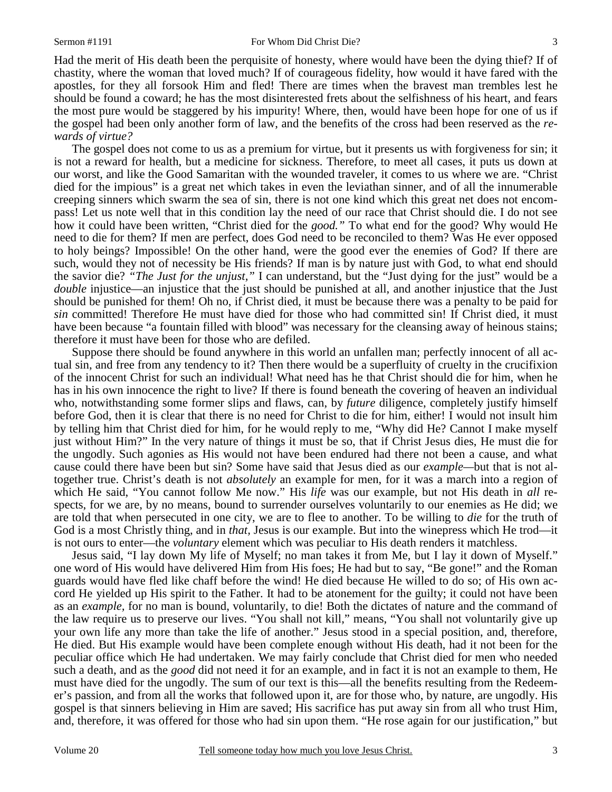Had the merit of His death been the perquisite of honesty, where would have been the dying thief? If of chastity, where the woman that loved much? If of courageous fidelity, how would it have fared with the apostles, for they all forsook Him and fled! There are times when the bravest man trembles lest he should be found a coward; he has the most disinterested frets about the selfishness of his heart, and fears the most pure would be staggered by his impurity! Where, then, would have been hope for one of us if the gospel had been only another form of law, and the benefits of the cross had been reserved as the *rewards of virtue?*

The gospel does not come to us as a premium for virtue, but it presents us with forgiveness for sin; it is not a reward for health, but a medicine for sickness. Therefore, to meet all cases, it puts us down at our worst, and like the Good Samaritan with the wounded traveler, it comes to us where we are. "Christ died for the impious" is a great net which takes in even the leviathan sinner, and of all the innumerable creeping sinners which swarm the sea of sin, there is not one kind which this great net does not encompass! Let us note well that in this condition lay the need of our race that Christ should die. I do not see how it could have been written, "Christ died for the *good."* To what end for the good? Why would He need to die for them? If men are perfect, does God need to be reconciled to them? Was He ever opposed to holy beings? Impossible! On the other hand, were the good ever the enemies of God? If there are such, would they not of necessity be His friends? If man is by nature just with God, to what end should the savior die? *"The Just for the unjust,"* I can understand, but the "Just dying for the just" would be a *double* injustice—an injustice that the just should be punished at all, and another injustice that the Just should be punished for them! Oh no, if Christ died, it must be because there was a penalty to be paid for *sin* committed! Therefore He must have died for those who had committed sin! If Christ died, it must have been because "a fountain filled with blood" was necessary for the cleansing away of heinous stains; therefore it must have been for those who are defiled.

Suppose there should be found anywhere in this world an unfallen man; perfectly innocent of all actual sin, and free from any tendency to it? Then there would be a superfluity of cruelty in the crucifixion of the innocent Christ for such an individual! What need has he that Christ should die for him, when he has in his own innocence the right to live? If there is found beneath the covering of heaven an individual who, notwithstanding some former slips and flaws, can, by *future* diligence, completely justify himself before God, then it is clear that there is no need for Christ to die for him, either! I would not insult him by telling him that Christ died for him, for he would reply to me, "Why did He? Cannot I make myself just without Him?" In the very nature of things it must be so, that if Christ Jesus dies, He must die for the ungodly. Such agonies as His would not have been endured had there not been a cause, and what cause could there have been but sin? Some have said that Jesus died as our *example—*but that is not altogether true. Christ's death is not *absolutely* an example for men, for it was a march into a region of which He said, "You cannot follow Me now." His *life* was our example, but not His death in *all* respects, for we are, by no means, bound to surrender ourselves voluntarily to our enemies as He did; we are told that when persecuted in one city, we are to flee to another. To be willing to *die* for the truth of God is a most Christly thing, and in *that,* Jesus is our example. But into the winepress which He trod—it is not ours to enter—the *voluntary* element which was peculiar to His death renders it matchless.

Jesus said, "I lay down My life of Myself; no man takes it from Me, but I lay it down of Myself." one word of His would have delivered Him from His foes; He had but to say, "Be gone!" and the Roman guards would have fled like chaff before the wind! He died because He willed to do so; of His own accord He yielded up His spirit to the Father. It had to be atonement for the guilty; it could not have been as an *example,* for no man is bound, voluntarily, to die! Both the dictates of nature and the command of the law require us to preserve our lives. "You shall not kill," means, "You shall not voluntarily give up your own life any more than take the life of another." Jesus stood in a special position, and, therefore, He died. But His example would have been complete enough without His death, had it not been for the peculiar office which He had undertaken. We may fairly conclude that Christ died for men who needed such a death, and as the *good* did not need it for an example, and in fact it is not an example to them, He must have died for the ungodly. The sum of our text is this—all the benefits resulting from the Redeemer's passion, and from all the works that followed upon it, are for those who, by nature, are ungodly. His gospel is that sinners believing in Him are saved; His sacrifice has put away sin from all who trust Him, and, therefore, it was offered for those who had sin upon them. "He rose again for our justification," but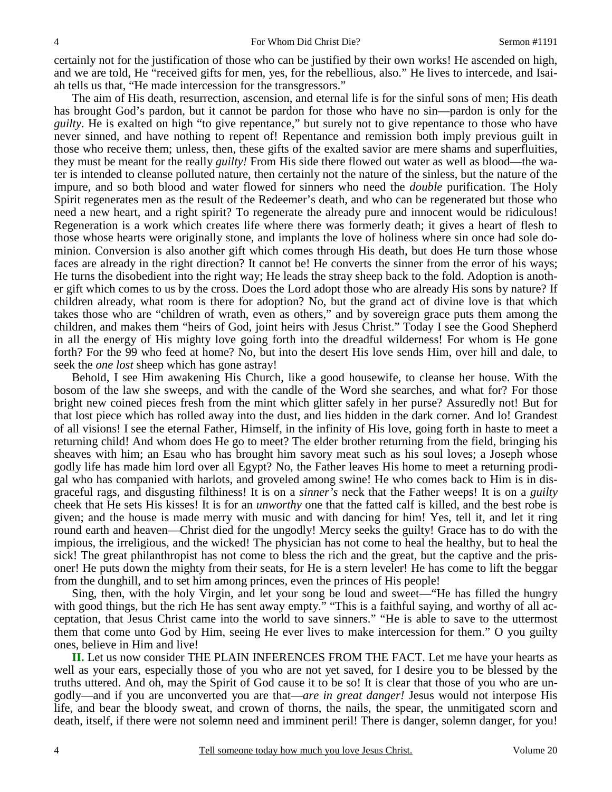certainly not for the justification of those who can be justified by their own works! He ascended on high, and we are told, He "received gifts for men, yes, for the rebellious, also." He lives to intercede, and Isaiah tells us that, "He made intercession for the transgressors."

The aim of His death, resurrection, ascension, and eternal life is for the sinful sons of men; His death has brought God's pardon, but it cannot be pardon for those who have no sin—pardon is only for the *guilty*. He is exalted on high "to give repentance," but surely not to give repentance to those who have never sinned, and have nothing to repent of! Repentance and remission both imply previous guilt in those who receive them; unless, then, these gifts of the exalted savior are mere shams and superfluities, they must be meant for the really *guilty!* From His side there flowed out water as well as blood—the water is intended to cleanse polluted nature, then certainly not the nature of the sinless, but the nature of the impure, and so both blood and water flowed for sinners who need the *double* purification. The Holy Spirit regenerates men as the result of the Redeemer's death, and who can be regenerated but those who need a new heart, and a right spirit? To regenerate the already pure and innocent would be ridiculous! Regeneration is a work which creates life where there was formerly death; it gives a heart of flesh to those whose hearts were originally stone, and implants the love of holiness where sin once had sole dominion. Conversion is also another gift which comes through His death, but does He turn those whose faces are already in the right direction? It cannot be! He converts the sinner from the error of his ways; He turns the disobedient into the right way; He leads the stray sheep back to the fold. Adoption is another gift which comes to us by the cross. Does the Lord adopt those who are already His sons by nature? If children already, what room is there for adoption? No, but the grand act of divine love is that which takes those who are "children of wrath, even as others," and by sovereign grace puts them among the children, and makes them "heirs of God, joint heirs with Jesus Christ." Today I see the Good Shepherd in all the energy of His mighty love going forth into the dreadful wilderness! For whom is He gone forth? For the 99 who feed at home? No, but into the desert His love sends Him, over hill and dale, to seek the *one lost* sheep which has gone astray!

Behold, I see Him awakening His Church, like a good housewife, to cleanse her house. With the bosom of the law she sweeps, and with the candle of the Word she searches, and what for? For those bright new coined pieces fresh from the mint which glitter safely in her purse? Assuredly not! But for that lost piece which has rolled away into the dust, and lies hidden in the dark corner. And lo! Grandest of all visions! I see the eternal Father, Himself, in the infinity of His love, going forth in haste to meet a returning child! And whom does He go to meet? The elder brother returning from the field, bringing his sheaves with him; an Esau who has brought him savory meat such as his soul loves; a Joseph whose godly life has made him lord over all Egypt? No, the Father leaves His home to meet a returning prodigal who has companied with harlots, and groveled among swine! He who comes back to Him is in disgraceful rags, and disgusting filthiness! It is on a *sinner's* neck that the Father weeps! It is on a *guilty* cheek that He sets His kisses! It is for an *unworthy* one that the fatted calf is killed, and the best robe is given; and the house is made merry with music and with dancing for him! Yes, tell it, and let it ring round earth and heaven—Christ died for the ungodly! Mercy seeks the guilty! Grace has to do with the impious, the irreligious, and the wicked! The physician has not come to heal the healthy, but to heal the sick! The great philanthropist has not come to bless the rich and the great, but the captive and the prisoner! He puts down the mighty from their seats, for He is a stern leveler! He has come to lift the beggar from the dunghill, and to set him among princes, even the princes of His people!

Sing, then, with the holy Virgin, and let your song be loud and sweet—"He has filled the hungry with good things, but the rich He has sent away empty." "This is a faithful saying, and worthy of all acceptation, that Jesus Christ came into the world to save sinners." "He is able to save to the uttermost them that come unto God by Him, seeing He ever lives to make intercession for them." O you guilty ones, believe in Him and live!

**II.** Let us now consider THE PLAIN INFERENCES FROM THE FACT. Let me have your hearts as well as your ears, especially those of you who are not yet saved, for I desire you to be blessed by the truths uttered. And oh, may the Spirit of God cause it to be so! It is clear that those of you who are ungodly—and if you are unconverted you are that—*are in great danger!* Jesus would not interpose His life, and bear the bloody sweat, and crown of thorns, the nails, the spear, the unmitigated scorn and death, itself, if there were not solemn need and imminent peril! There is danger, solemn danger, for you!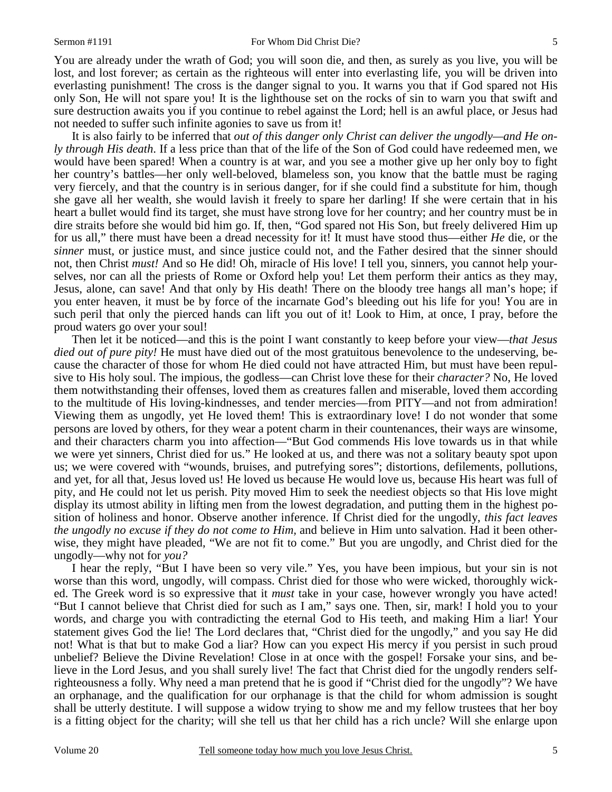You are already under the wrath of God; you will soon die, and then, as surely as you live, you will be lost, and lost forever; as certain as the righteous will enter into everlasting life, you will be driven into everlasting punishment! The cross is the danger signal to you. It warns you that if God spared not His only Son, He will not spare you! It is the lighthouse set on the rocks of sin to warn you that swift and sure destruction awaits you if you continue to rebel against the Lord; hell is an awful place, or Jesus had not needed to suffer such infinite agonies to save us from it!

It is also fairly to be inferred that *out of this danger only Christ can deliver the ungodly—and He only through His death*. If a less price than that of the life of the Son of God could have redeemed men, we would have been spared! When a country is at war, and you see a mother give up her only boy to fight her country's battles—her only well-beloved, blameless son, you know that the battle must be raging very fiercely, and that the country is in serious danger, for if she could find a substitute for him, though she gave all her wealth, she would lavish it freely to spare her darling! If she were certain that in his heart a bullet would find its target, she must have strong love for her country; and her country must be in dire straits before she would bid him go. If, then, "God spared not His Son, but freely delivered Him up for us all," there must have been a dread necessity for it! It must have stood thus—either *He* die, or the *sinner* must, or justice must, and since justice could not, and the Father desired that the sinner should not, then Christ *must!* And so He did! Oh, miracle of His love! I tell you, sinners, you cannot help yourselves, nor can all the priests of Rome or Oxford help you! Let them perform their antics as they may, Jesus, alone, can save! And that only by His death! There on the bloody tree hangs all man's hope; if you enter heaven, it must be by force of the incarnate God's bleeding out his life for you! You are in such peril that only the pierced hands can lift you out of it! Look to Him, at once, I pray, before the proud waters go over your soul!

Then let it be noticed—and this is the point I want constantly to keep before your view—*that Jesus died out of pure pity!* He must have died out of the most gratuitous benevolence to the undeserving, because the character of those for whom He died could not have attracted Him, but must have been repulsive to His holy soul. The impious, the godless—can Christ love these for their *character?* No, He loved them notwithstanding their offenses, loved them as creatures fallen and miserable, loved them according to the multitude of His loving-kindnesses, and tender mercies—from PITY—and not from admiration! Viewing them as ungodly, yet He loved them! This is extraordinary love! I do not wonder that some persons are loved by others, for they wear a potent charm in their countenances, their ways are winsome, and their characters charm you into affection—"But God commends His love towards us in that while we were yet sinners, Christ died for us." He looked at us, and there was not a solitary beauty spot upon us; we were covered with "wounds, bruises, and putrefying sores"; distortions, defilements, pollutions, and yet, for all that, Jesus loved us! He loved us because He would love us, because His heart was full of pity, and He could not let us perish. Pity moved Him to seek the neediest objects so that His love might display its utmost ability in lifting men from the lowest degradation, and putting them in the highest position of holiness and honor. Observe another inference. If Christ died for the ungodly, *this fact leaves the ungodly no excuse if they do not come to Him,* and believe in Him unto salvation. Had it been otherwise, they might have pleaded, "We are not fit to come." But you are ungodly, and Christ died for the ungodly—why not for *you?*

I hear the reply, "But I have been so very vile." Yes, you have been impious, but your sin is not worse than this word, ungodly, will compass. Christ died for those who were wicked, thoroughly wicked. The Greek word is so expressive that it *must* take in your case, however wrongly you have acted! "But I cannot believe that Christ died for such as I am," says one. Then, sir, mark! I hold you to your words, and charge you with contradicting the eternal God to His teeth, and making Him a liar! Your statement gives God the lie! The Lord declares that, "Christ died for the ungodly," and you say He did not! What is that but to make God a liar? How can you expect His mercy if you persist in such proud unbelief? Believe the Divine Revelation! Close in at once with the gospel! Forsake your sins, and believe in the Lord Jesus, and you shall surely live! The fact that Christ died for the ungodly renders selfrighteousness a folly. Why need a man pretend that he is good if "Christ died for the ungodly"? We have an orphanage, and the qualification for our orphanage is that the child for whom admission is sought shall be utterly destitute. I will suppose a widow trying to show me and my fellow trustees that her boy is a fitting object for the charity; will she tell us that her child has a rich uncle? Will she enlarge upon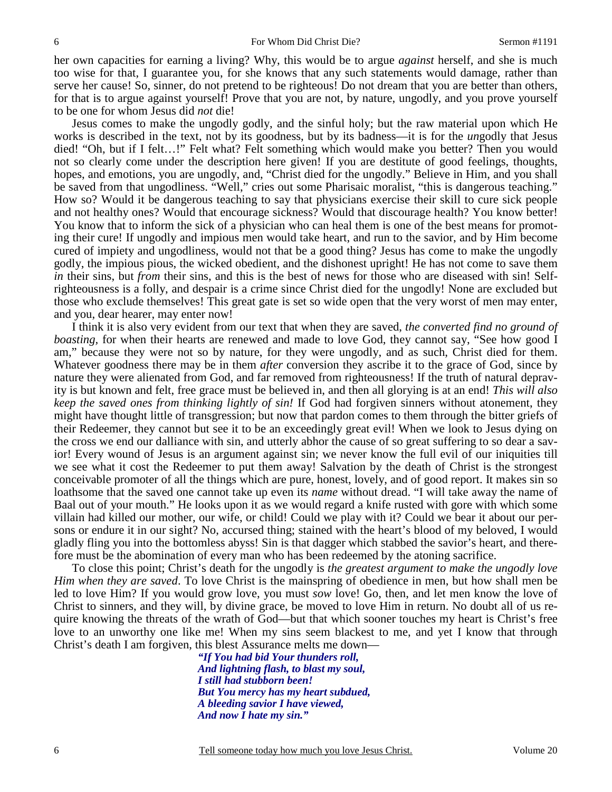her own capacities for earning a living? Why, this would be to argue *against* herself, and she is much too wise for that, I guarantee you, for she knows that any such statements would damage, rather than serve her cause! So, sinner, do not pretend to be righteous! Do not dream that you are better than others, for that is to argue against yourself! Prove that you are not, by nature, ungodly, and you prove yourself to be one for whom Jesus did *not* die!

Jesus comes to make the ungodly godly, and the sinful holy; but the raw material upon which He works is described in the text, not by its goodness, but by its badness—it is for the *un*godly that Jesus died! "Oh, but if I felt…!" Felt what? Felt something which would make you better? Then you would not so clearly come under the description here given! If you are destitute of good feelings, thoughts, hopes, and emotions, you are ungodly, and, "Christ died for the ungodly." Believe in Him, and you shall be saved from that ungodliness. "Well," cries out some Pharisaic moralist, "this is dangerous teaching." How so? Would it be dangerous teaching to say that physicians exercise their skill to cure sick people and not healthy ones? Would that encourage sickness? Would that discourage health? You know better! You know that to inform the sick of a physician who can heal them is one of the best means for promoting their cure! If ungodly and impious men would take heart, and run to the savior, and by Him become cured of impiety and ungodliness, would not that be a good thing? Jesus has come to make the ungodly godly, the impious pious, the wicked obedient, and the dishonest upright! He has not come to save them *in* their sins, but *from* their sins, and this is the best of news for those who are diseased with sin! Selfrighteousness is a folly, and despair is a crime since Christ died for the ungodly! None are excluded but those who exclude themselves! This great gate is set so wide open that the very worst of men may enter, and you, dear hearer, may enter now!

I think it is also very evident from our text that when they are saved, *the converted find no ground of boasting,* for when their hearts are renewed and made to love God, they cannot say, "See how good I am," because they were not so by nature, for they were ungodly, and as such, Christ died for them. Whatever goodness there may be in them *after* conversion they ascribe it to the grace of God, since by nature they were alienated from God, and far removed from righteousness! If the truth of natural depravity is but known and felt, free grace must be believed in, and then all glorying is at an end! *This will also keep the saved ones from thinking lightly of sin!* If God had forgiven sinners without atonement, they might have thought little of transgression; but now that pardon comes to them through the bitter griefs of their Redeemer, they cannot but see it to be an exceedingly great evil! When we look to Jesus dying on the cross we end our dalliance with sin, and utterly abhor the cause of so great suffering to so dear a savior! Every wound of Jesus is an argument against sin; we never know the full evil of our iniquities till we see what it cost the Redeemer to put them away! Salvation by the death of Christ is the strongest conceivable promoter of all the things which are pure, honest, lovely, and of good report. It makes sin so loathsome that the saved one cannot take up even its *name* without dread. "I will take away the name of Baal out of your mouth." He looks upon it as we would regard a knife rusted with gore with which some villain had killed our mother, our wife, or child! Could we play with it? Could we bear it about our persons or endure it in our sight? No, accursed thing; stained with the heart's blood of my beloved, I would gladly fling you into the bottomless abyss! Sin is that dagger which stabbed the savior's heart, and therefore must be the abomination of every man who has been redeemed by the atoning sacrifice.

To close this point; Christ's death for the ungodly is *the greatest argument to make the ungodly love Him when they are saved*. To love Christ is the mainspring of obedience in men, but how shall men be led to love Him? If you would grow love, you must *sow* love! Go, then, and let men know the love of Christ to sinners, and they will, by divine grace, be moved to love Him in return. No doubt all of us require knowing the threats of the wrath of God—but that which sooner touches my heart is Christ's free love to an unworthy one like me! When my sins seem blackest to me, and yet I know that through Christ's death I am forgiven, this blest Assurance melts me down—

*"If You had bid Your thunders roll, And lightning flash, to blast my soul, I still had stubborn been! But You mercy has my heart subdued, A bleeding savior I have viewed, And now I hate my sin."* 

Tell someone today how much you love Jesus Christ. Volume 20

6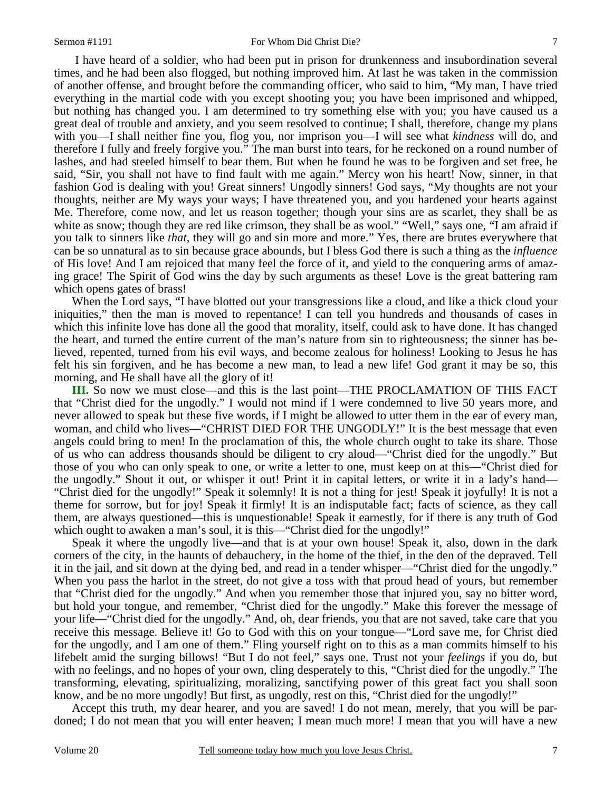I have heard of a soldier, who had been put in prison for drunkenness and insubordination several times, and he had been also flogged, but nothing improved him. At last he was taken in the commission of another offense, and brought before the commanding officer, who said to him, "My man, I have tried everything in the martial code with you except shooting you; you have been imprisoned and whipped, but nothing has changed you. I am determined to try something else with you; you have caused us a great deal of trouble and anxiety, and you seem resolved to continue; I shall, therefore, change my plans with you—I shall neither fine you, flog you, nor imprison you—I will see what *kindness* will do, and therefore I fully and freely forgive you." The man burst into tears, for he reckoned on a round number of lashes, and had steeled himself to bear them. But when he found he was to be forgiven and set free, he said, "Sir, you shall not have to find fault with me again." Mercy won his heart! Now, sinner, in that fashion God is dealing with you! Great sinners! Ungodly sinners! God says, "My thoughts are not your thoughts, neither are My ways your ways; I have threatened you, and you hardened your hearts against Me. Therefore, come now, and let us reason together; though your sins are as scarlet, they shall be as white as snow; though they are red like crimson, they shall be as wool." "Well," says one, "I am afraid if you talk to sinners like *that*, they will go and sin more and more." Yes, there are brutes everywhere that can be so unnatural as to sin because grace abounds, but I bless God there is such a thing as the *influence* of His love! And I am rejoiced that many feel the force of it, and yield to the conquering arms of amazing grace! The Spirit of God wins the day by such arguments as these! Love is the great battering ram which opens gates of brass!

When the Lord says, "I have blotted out your transgressions like a cloud, and like a thick cloud your iniquities," then the man is moved to repentance! I can tell you hundreds and thousands of cases in which this infinite love has done all the good that morality, itself, could ask to have done. It has changed the heart, and turned the entire current of the man's nature from sin to righteousness; the sinner has believed, repented, turned from his evil ways, and become zealous for holiness! Looking to Jesus he has felt his sin forgiven, and he has become a new man, to lead a new life! God grant it may be so, this morning, and He shall have all the glory of it!

**III.** So now we must close—and this is the last point—THE PROCLAMATION OF THIS FACT that "Christ died for the ungodly." I would not mind if I were condemned to live 50 years more, and never allowed to speak but these five words, if I might be allowed to utter them in the ear of every man, woman, and child who lives—"CHRIST DIED FOR THE UNGODLY!" It is the best message that even angels could bring to men! In the proclamation of this, the whole church ought to take its share. Those of us who can address thousands should be diligent to cry aloud—"Christ died for the ungodly." But those of you who can only speak to one, or write a letter to one, must keep on at this—"Christ died for the ungodly." Shout it out, or whisper it out! Print it in capital letters, or write it in a lady's hand— "Christ died for the ungodly!" Speak it solemnly! It is not a thing for jest! Speak it joyfully! It is not a theme for sorrow, but for joy! Speak it firmly! It is an indisputable fact; facts of science, as they call them, are always questioned—this is unquestionable! Speak it earnestly, for if there is any truth of God which ought to awaken a man's soul, it is this—"Christ died for the ungodly!"

Speak it where the ungodly live—and that is at your own house! Speak it, also, down in the dark corners of the city, in the haunts of debauchery, in the home of the thief, in the den of the depraved. Tell it in the jail, and sit down at the dying bed, and read in a tender whisper—"Christ died for the ungodly." When you pass the harlot in the street, do not give a toss with that proud head of yours, but remember that "Christ died for the ungodly." And when you remember those that injured you, say no bitter word, but hold your tongue, and remember, "Christ died for the ungodly." Make this forever the message of your life—"Christ died for the ungodly." And, oh, dear friends, you that are not saved, take care that you receive this message. Believe it! Go to God with this on your tongue—"Lord save me, for Christ died for the ungodly, and I am one of them." Fling yourself right on to this as a man commits himself to his lifebelt amid the surging billows! "But I do not feel," says one. Trust not your *feelings* if you do, but with no feelings, and no hopes of your own, cling desperately to this, "Christ died for the ungodly." The transforming, elevating, spiritualizing, moralizing, sanctifying power of this great fact you shall soon know, and be no more ungodly! But first, as ungodly, rest on this, "Christ died for the ungodly!"

Accept this truth, my dear hearer, and you are saved! I do not mean, merely, that you will be pardoned; I do not mean that you will enter heaven; I mean much more! I mean that you will have a new